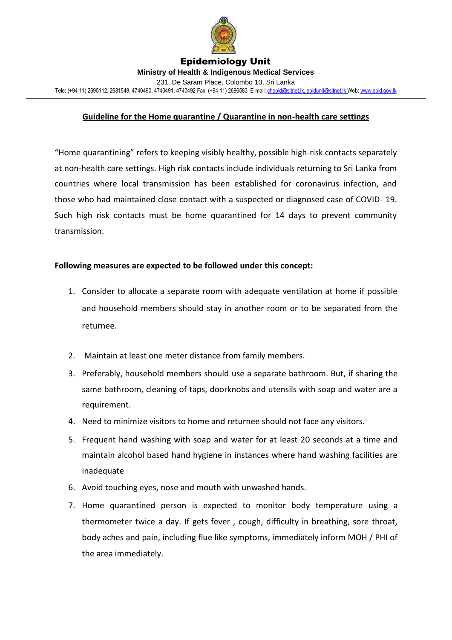

Epidemiology Unit

**Ministry of Health & Indigenous Medical Services**

231, De Saram Place, Colombo 10, Sri Lanka

Tele: (+94 11) 2695112, 2681548, 4740490, 4740491, 4740492 Fax: (+94 11) 2696583 E-mail[: chepid@sltnet.lk, epidunit@sltnet.lk](mailto:chepi@sltnet.lk) Web[: www.epid.gov.lk](http://www.epid.gov.lk/)

## **Guideline for the Home quarantine / Quarantine in non-health care settings**

"Home quarantining" refers to keeping visibly healthy, possible high-risk contacts separately at non-health care settings. High risk contacts include individuals returning to Sri Lanka from countries where local transmission has been established for coronavirus infection, and those who had maintained close contact with a suspected or diagnosed case of COVID- 19. Such high risk contacts must be home quarantined for 14 days to prevent community transmission.

## **Following measures are expected to be followed under this concept:**

- 1. Consider to allocate a separate room with adequate ventilation at home if possible and household members should stay in another room or to be separated from the returnee.
- 2. Maintain at least one meter distance from family members.
- 3. Preferably, household members should use a separate bathroom. But, if sharing the same bathroom, cleaning of taps, doorknobs and utensils with soap and water are a requirement.
- 4. Need to minimize visitors to home and returnee should not face any visitors.
- 5. Frequent hand washing with soap and water for at least 20 seconds at a time and maintain alcohol based hand hygiene in instances where hand washing facilities are inadequate
- 6. Avoid touching eyes, nose and mouth with unwashed hands.
- 7. Home quarantined person is expected to monitor body temperature using a thermometer twice a day. If gets fever , cough, difficulty in breathing, sore throat, body aches and pain, including flue like symptoms, immediately inform MOH / PHI of the area immediately.